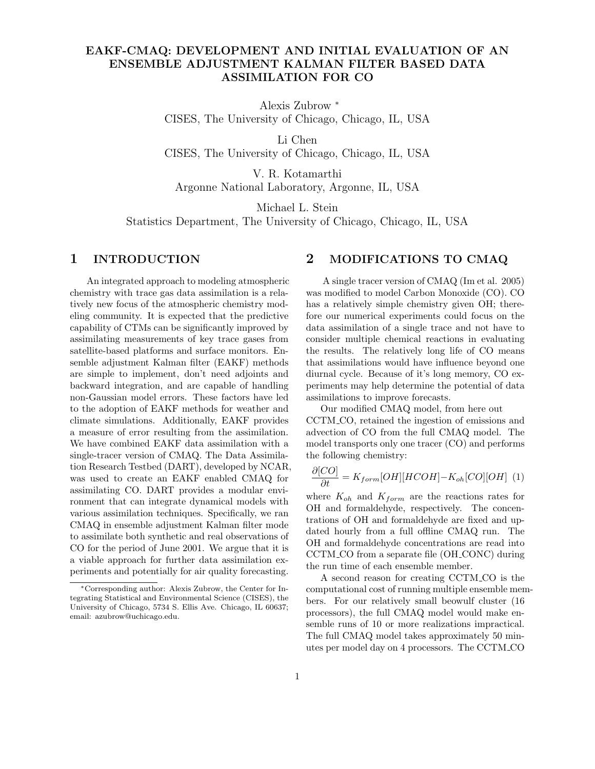# EAKF-CMAQ: DEVELOPMENT AND INITIAL EVALUATION OF AN ENSEMBLE ADJUSTMENT KALMAN FILTER BASED DATA ASSIMILATION FOR CO

Alexis Zubrow <sup>∗</sup> CISES, The University of Chicago, Chicago, IL, USA

Li Chen CISES, The University of Chicago, Chicago, IL, USA

V. R. Kotamarthi Argonne National Laboratory, Argonne, IL, USA

Michael L. Stein

Statistics Department, The University of Chicago, Chicago, IL, USA

## 1 INTRODUCTION

An integrated approach to modeling atmospheric chemistry with trace gas data assimilation is a relatively new focus of the atmospheric chemistry modeling community. It is expected that the predictive capability of CTMs can be significantly improved by assimilating measurements of key trace gases from satellite-based platforms and surface monitors. Ensemble adjustment Kalman filter (EAKF) methods are simple to implement, don't need adjoints and backward integration, and are capable of handling non-Gaussian model errors. These factors have led to the adoption of EAKF methods for weather and climate simulations. Additionally, EAKF provides a measure of error resulting from the assimilation. We have combined EAKF data assimilation with a single-tracer version of CMAQ. The Data Assimilation Research Testbed (DART), developed by NCAR, was used to create an EAKF enabled CMAQ for assimilating CO. DART provides a modular environment that can integrate dynamical models with various assimilation techniques. Specifically, we ran CMAQ in ensemble adjustment Kalman filter mode to assimilate both synthetic and real observations of CO for the period of June 2001. We argue that it is a viable approach for further data assimilation experiments and potentially for air quality forecasting.

## 2 MODIFICATIONS TO CMAQ

A single tracer version of CMAQ (Im et al. 2005) was modified to model Carbon Monoxide (CO). CO has a relatively simple chemistry given OH; therefore our numerical experiments could focus on the data assimilation of a single trace and not have to consider multiple chemical reactions in evaluating the results. The relatively long life of CO means that assimilations would have influence beyond one diurnal cycle. Because of it's long memory, CO experiments may help determine the potential of data assimilations to improve forecasts.

Our modified CMAQ model, from here out CCTM CO, retained the ingestion of emissions and advection of CO from the full CMAQ model. The model transports only one tracer (CO) and performs the following chemistry:

$$
\frac{\partial [CO]}{\partial t} = K_{form}[OH][HCOH] - K_{oh}[CO][OH] \tag{1}
$$

where  $K_{oh}$  and  $K_{form}$  are the reactions rates for OH and formaldehyde, respectively. The concentrations of OH and formaldehyde are fixed and updated hourly from a full offline CMAQ run. The OH and formaldehyde concentrations are read into CCTM CO from a separate file (OH CONC) during the run time of each ensemble member.

A second reason for creating CCTM CO is the computational cost of running multiple ensemble members. For our relatively small beowulf cluster (16 processors), the full CMAQ model would make ensemble runs of 10 or more realizations impractical. The full CMAQ model takes approximately 50 minutes per model day on 4 processors. The CCTM CO

<sup>∗</sup>Corresponding author: Alexis Zubrow, the Center for Integrating Statistical and Environmental Science (CISES), the University of Chicago, 5734 S. Ellis Ave. Chicago, IL 60637; email: azubrow@uchicago.edu.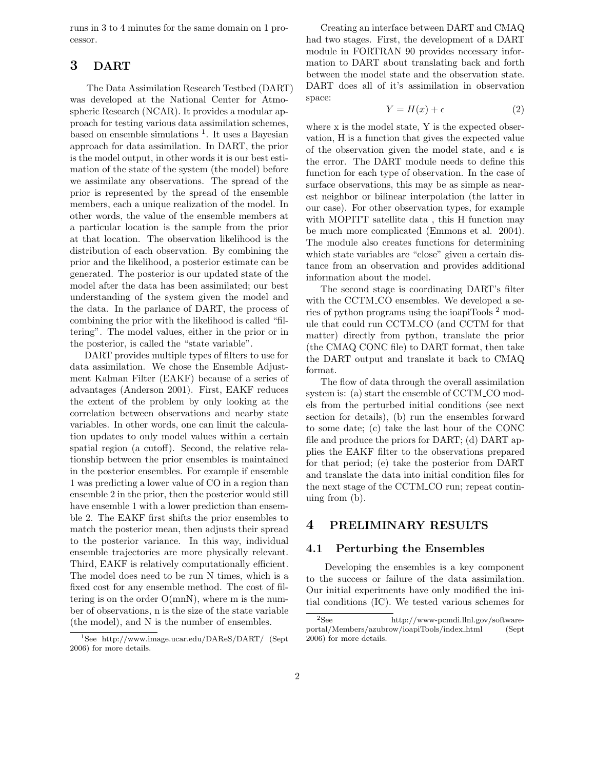runs in 3 to 4 minutes for the same domain on 1 processor.

# 3 DART

The Data Assimilation Research Testbed (DART) was developed at the National Center for Atmospheric Research (NCAR). It provides a modular approach for testing various data assimilation schemes, based on ensemble simulations  $<sup>1</sup>$ . It uses a Bayesian</sup> approach for data assimilation. In DART, the prior is the model output, in other words it is our best estimation of the state of the system (the model) before we assimilate any observations. The spread of the prior is represented by the spread of the ensemble members, each a unique realization of the model. In other words, the value of the ensemble members at a particular location is the sample from the prior at that location. The observation likelihood is the distribution of each observation. By combining the prior and the likelihood, a posterior estimate can be generated. The posterior is our updated state of the model after the data has been assimilated; our best understanding of the system given the model and the data. In the parlance of DART, the process of combining the prior with the likelihood is called "filtering". The model values, either in the prior or in the posterior, is called the "state variable".

DART provides multiple types of filters to use for data assimilation. We chose the Ensemble Adjustment Kalman Filter (EAKF) because of a series of advantages (Anderson 2001). First, EAKF reduces the extent of the problem by only looking at the correlation between observations and nearby state variables. In other words, one can limit the calculation updates to only model values within a certain spatial region (a cutoff). Second, the relative relationship between the prior ensembles is maintained in the posterior ensembles. For example if ensemble 1 was predicting a lower value of CO in a region than ensemble 2 in the prior, then the posterior would still have ensemble 1 with a lower prediction than ensemble 2. The EAKF first shifts the prior ensembles to match the posterior mean, then adjusts their spread to the posterior variance. In this way, individual ensemble trajectories are more physically relevant. Third, EAKF is relatively computationally efficient. The model does need to be run N times, which is a fixed cost for any ensemble method. The cost of filtering is on the order  $O(mn)$ , where m is the number of observations, n is the size of the state variable (the model), and N is the number of ensembles.

Creating an interface between DART and CMAQ had two stages. First, the development of a DART module in FORTRAN 90 provides necessary information to DART about translating back and forth between the model state and the observation state. DART does all of it's assimilation in observation space:

$$
Y = H(x) + \epsilon \tag{2}
$$

where x is the model state, Y is the expected observation, H is a function that gives the expected value of the observation given the model state, and  $\epsilon$  is the error. The DART module needs to define this function for each type of observation. In the case of surface observations, this may be as simple as nearest neighbor or bilinear interpolation (the latter in our case). For other observation types, for example with MOPITT satellite data , this H function may be much more complicated (Emmons et al. 2004). The module also creates functions for determining which state variables are "close" given a certain distance from an observation and provides additional information about the model.

The second stage is coordinating DART's filter with the CCTM CO ensembles. We developed a series of python programs using the ioapiTools <sup>2</sup> module that could run CCTM CO (and CCTM for that matter) directly from python, translate the prior (the CMAQ CONC file) to DART format, then take the DART output and translate it back to CMAQ format.

The flow of data through the overall assimilation system is: (a) start the ensemble of CCTM CO models from the perturbed initial conditions (see next section for details), (b) run the ensembles forward to some date; (c) take the last hour of the CONC file and produce the priors for DART; (d) DART applies the EAKF filter to the observations prepared for that period; (e) take the posterior from DART and translate the data into initial condition files for the next stage of the CCTM CO run; repeat continuing from (b).

## 4 PRELIMINARY RESULTS

#### 4.1 Perturbing the Ensembles

Developing the ensembles is a key component to the success or failure of the data assimilation. Our initial experiments have only modified the initial conditions (IC). We tested various schemes for

<sup>1</sup>See http://www.image.ucar.edu/DAReS/DART/ (Sept 2006) for more details.

<sup>2</sup>See http://www-pcmdi.llnl.gov/softwareportal/Members/azubrow/ioapiTools/index html (Sept 2006) for more details.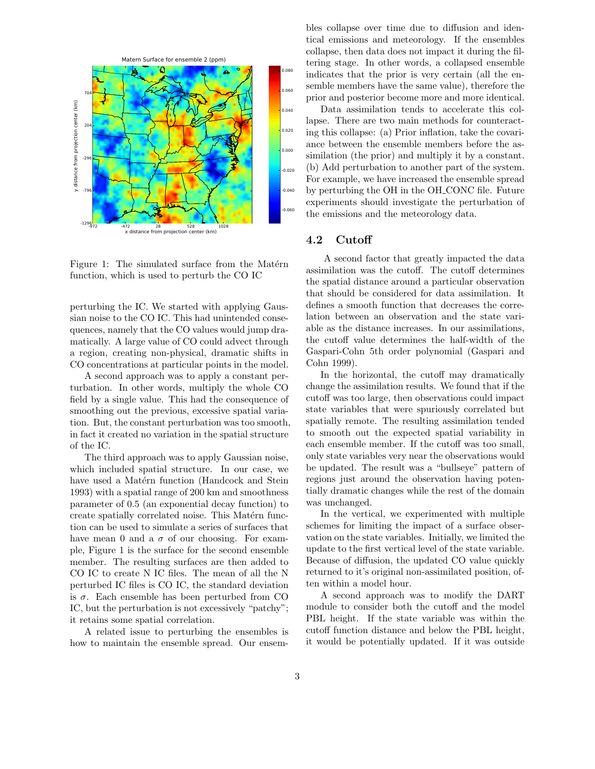

Figure 1: The simulated surface from the Matérn function, which is used to perturb the CO IC

perturbing the IC. We started with applying Gaussian noise to the CO IC. This had unintended consequences, namely that the CO values would jump dramatically. A large value of CO could advect through a region, creating non-physical, dramatic shifts in CO concentrations at particular points in the model.

A second approach was to apply a constant perturbation. In other words, multiply the whole CO field by a single value. This had the consequence of smoothing out the previous, excessive spatial variation. But, the constant perturbation was too smooth, in fact it created no variation in the spatial structure of the IC.

The third approach was to apply Gaussian noise, which included spatial structure. In our case, we have used a Matérn function (Handcock and Stein 1993) with a spatial range of 200 km and smoothness parameter of 0.5 (an exponential decay function) to create spatially correlated noise. This Matérn function can be used to simulate a series of surfaces that have mean 0 and a  $\sigma$  of our choosing. For example, Figure 1 is the surface for the second ensemble member. The resulting surfaces are then added to CO IC to create N IC files. The mean of all the N perturbed IC files is CO IC, the standard deviation is  $\sigma$ . Each ensemble has been perturbed from CO IC, but the perturbation is not excessively "patchy"; it retains some spatial correlation.

A related issue to perturbing the ensembles is how to maintain the ensemble spread. Our ensembles collapse over time due to diffusion and identical emissions and meteorology. If the ensembles collapse, then data does not impact it during the filtering stage. In other words, a collapsed ensemble indicates that the prior is very certain (all the ensemble members have the same value), therefore the prior and posterior become more and more identical.

Data assimilation tends to accelerate this collapse. There are two main methods for counteracting this collapse: (a) Prior inflation, take the covariance between the ensemble members before the assimilation (the prior) and multiply it by a constant. (b) Add perturbation to another part of the system. For example, we have increased the ensemble spread by perturbing the OH in the OH CONC file. Future experiments should investigate the perturbation of the emissions and the meteorology data.

#### 4.2 Cutoff

A second factor that greatly impacted the data assimilation was the cutoff. The cutoff determines the spatial distance around a particular observation that should be considered for data assimilation. It defines a smooth function that decreases the correlation between an observation and the state variable as the distance increases. In our assimilations, the cutoff value determines the half-width of the Gaspari-Cohn 5th order polynomial (Gaspari and Cohn 1999).

In the horizontal, the cutoff may dramatically change the assimilation results. We found that if the cutoff was too large, then observations could impact state variables that were spuriously correlated but spatially remote. The resulting assimilation tended to smooth out the expected spatial variability in each ensemble member. If the cutoff was too small, only state variables very near the observations would be updated. The result was a "bullseye" pattern of regions just around the observation having potentially dramatic changes while the rest of the domain was unchanged.

In the vertical, we experimented with multiple schemes for limiting the impact of a surface observation on the state variables. Initially, we limited the update to the first vertical level of the state variable. Because of diffusion, the updated CO value quickly returned to it's original non-assimilated position, often within a model hour.

A second approach was to modify the DART module to consider both the cutoff and the model PBL height. If the state variable was within the cutoff function distance and below the PBL height, it would be potentially updated. If it was outside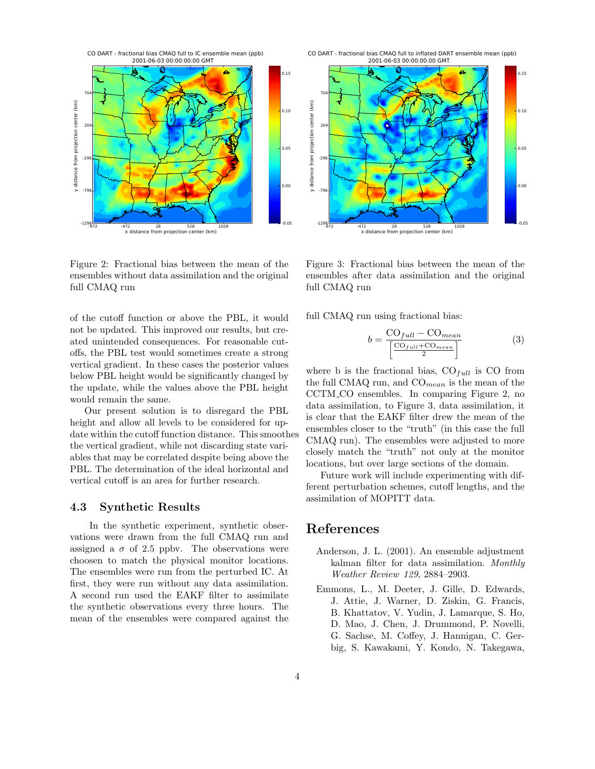

Figure 2: Fractional bias between the mean of the ensembles without data assimilation and the original full CMAQ run

of the cutoff function or above the PBL, it would not be updated. This improved our results, but created unintended consequences. For reasonable cutoffs, the PBL test would sometimes create a strong vertical gradient. In these cases the posterior values below PBL height would be significantly changed by the update, while the values above the PBL height would remain the same.

Our present solution is to disregard the PBL height and allow all levels to be considered for update within the cutoff function distance. This smoothes the vertical gradient, while not discarding state variables that may be correlated despite being above the PBL. The determination of the ideal horizontal and vertical cutoff is an area for further research.

#### 4.3 Synthetic Results

In the synthetic experiment, synthetic observations were drawn from the full CMAQ run and assigned a  $\sigma$  of 2.5 ppbv. The observations were choosen to match the physical monitor locations. The ensembles were run from the perturbed IC. At first, they were run without any data assimilation. A second run used the EAKF filter to assimilate the synthetic observations every three hours. The mean of the ensembles were compared against the

CO DART - fractional bias CMAQ full to inflated DART ensemble mean (ppb) 2001-06-03 00:00:00.00 GMT



Figure 3: Fractional bias between the mean of the ensembles after data assimilation and the original full CMAQ run

full CMAQ run using fractional bias:

$$
b = \frac{\text{CO}_{full} - \text{CO}_{mean}}{\left[\frac{\text{CO}_{full} + \text{CO}_{mean}}{2}\right]}
$$
 (3)

where b is the fractional bias,  $CO_{full}$  is CO from the full CMAQ run, and  $CO_{mean}$  is the mean of the CCTM CO ensembles. In comparing Figure 2, no data assimilation, to Figure 3, data assimilation, it is clear that the EAKF filter drew the mean of the ensembles closer to the "truth" (in this case the full CMAQ run). The ensembles were adjusted to more closely match the "truth" not only at the monitor locations, but over large sections of the domain.

Future work will include experimenting with different perturbation schemes, cutoff lengths, and the assimilation of MOPITT data.

# References

- Anderson, J. L. (2001). An ensemble adjustment kalman filter for data assimilation. Monthly Weather Review 129, 2884–2903.
- Emmons, L., M. Deeter, J. Gille, D. Edwards, J. Attie, J. Warner, D. Ziskin, G. Francis, B. Khattatov, V. Yudin, J. Lamarque, S. Ho, D. Mao, J. Chen, J. Drummond, P. Novelli, G. Sachse, M. Coffey, J. Hannigan, C. Gerbig, S. Kawakami, Y. Kondo, N. Takegawa,